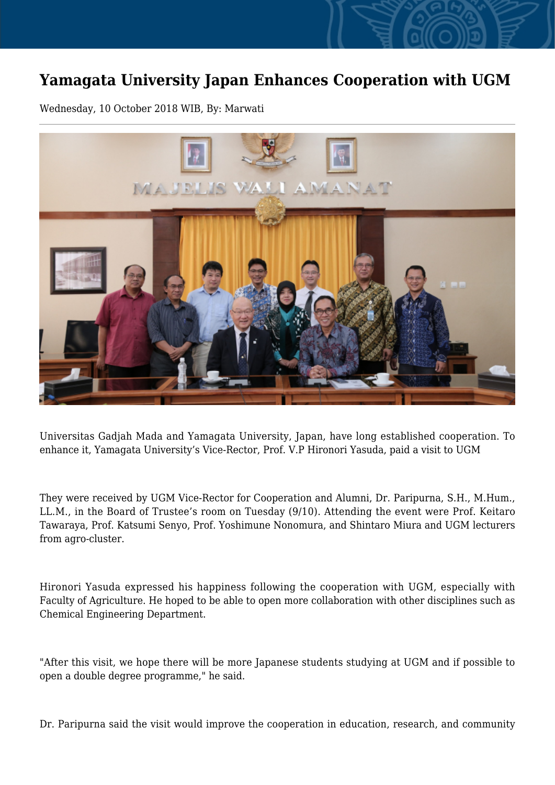## **Yamagata University Japan Enhances Cooperation with UGM**

Wednesday, 10 October 2018 WIB, By: Marwati



Universitas Gadjah Mada and Yamagata University, Japan, have long established cooperation. To enhance it, Yamagata University's Vice-Rector, Prof. V.P Hironori Yasuda, paid a visit to UGM

They were received by UGM Vice-Rector for Cooperation and Alumni, Dr. Paripurna, S.H., M.Hum., LL.M., in the Board of Trustee's room on Tuesday (9/10). Attending the event were Prof. Keitaro Tawaraya, Prof. Katsumi Senyo, Prof. Yoshimune Nonomura, and Shintaro Miura and UGM lecturers from agro-cluster.

Hironori Yasuda expressed his happiness following the cooperation with UGM, especially with Faculty of Agriculture. He hoped to be able to open more collaboration with other disciplines such as Chemical Engineering Department.

"After this visit, we hope there will be more Japanese students studying at UGM and if possible to open a double degree programme," he said.

Dr. Paripurna said the visit would improve the cooperation in education, research, and community